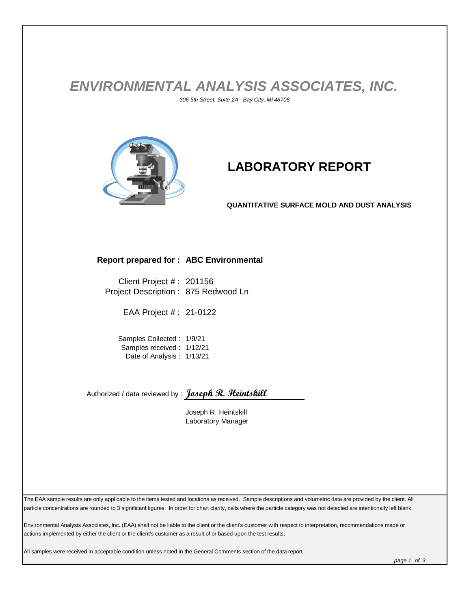## *ENVIRONMENTAL ANALYSIS ASSOCIATES, INC. 306 5th Street, Suite 2A - Bay City, MI 48708*



## **LABORATORY REPORT**

**QUANTITATIVE SURFACE MOLD AND DUST ANALYSIS**

## **Report prepared for : ABC Environmental**

Client Project # : 201156 Project Description : 875 Redwood Ln

EAA Project # : 21-0122

Samples Collected : 1/9/21 Samples received : 1/12/21 Date of Analysis : 1/13/21

Authorized / data reviewed by : **Joseph R. Heintskill**

Joseph R. Heintskill Laboratory Manager

The EAA sample results are only applicable to the items tested and locations as received. Sample descriptions and volumetric data are provided by the client. All particle concentrations are rounded to 3 significant figures. In order for chart clarity, cells where the particle category was not detected are intentionally left blank.

Environmental Analysis Associates, Inc. (EAA) shall not be liable to the client or the client's customer with respect to interpretation, recommendations made or actions implemented by either the client or the client's customer as a result of or based upon the test results.

All samples were received in acceptable condition unless noted in the General Comments section of the data report.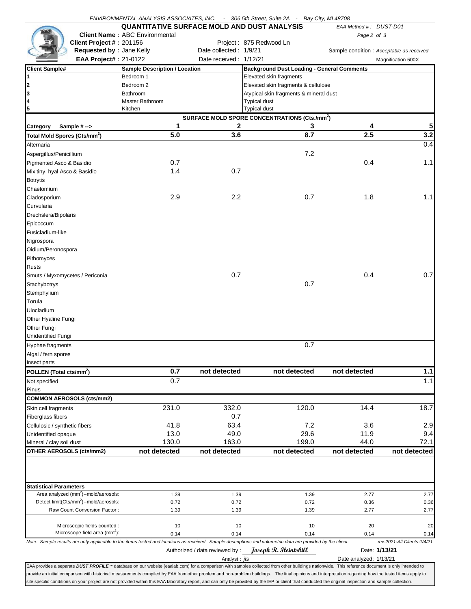|                                          |                                                                 | ENVIRONMENTAL ANALYSIS ASSOCIATES, INC. - 306 5th Street, Suite 2A - Bay City, MI 48708                                                                                                         |                                                           |                                                   |       |                        |                                           |
|------------------------------------------|-----------------------------------------------------------------|-------------------------------------------------------------------------------------------------------------------------------------------------------------------------------------------------|-----------------------------------------------------------|---------------------------------------------------|-------|------------------------|-------------------------------------------|
|                                          |                                                                 | <b>QUANTITATIVE SURFACE MOLD AND DUST ANALYSIS</b>                                                                                                                                              |                                                           |                                                   |       | EAA Method #: DUST-D01 |                                           |
|                                          |                                                                 | <b>Client Name: ABC Environmental</b>                                                                                                                                                           |                                                           |                                                   |       | Page 2 of 3            |                                           |
|                                          | Client Project #: 201156                                        |                                                                                                                                                                                                 |                                                           | Project: 875 Redwood Ln                           |       |                        |                                           |
|                                          | Requested by : Jane Kelly                                       |                                                                                                                                                                                                 | Date collected: 1/9/21                                    |                                                   |       |                        | Sample condition : Acceptable as received |
|                                          | <b>EAA Project#: 21-0122</b>                                    |                                                                                                                                                                                                 | Date received: 1/12/21                                    |                                                   |       |                        | Magnification 500X                        |
| <b>Client Sample#</b>                    |                                                                 | <b>Sample Description / Location</b>                                                                                                                                                            |                                                           | <b>Background Dust Loading - General Comments</b> |       |                        |                                           |
| 1                                        |                                                                 | Bedroom 1                                                                                                                                                                                       |                                                           | Elevated skin fragments                           |       |                        |                                           |
| 2                                        |                                                                 | Bedroom 2                                                                                                                                                                                       |                                                           | Elevated skin fragments & cellulose               |       |                        |                                           |
| 3                                        |                                                                 | Bathroom                                                                                                                                                                                        |                                                           | Atypical skin fragments & mineral dust            |       |                        |                                           |
| 4                                        |                                                                 | Master Bathroom                                                                                                                                                                                 |                                                           | <b>Typical dust</b>                               |       |                        |                                           |
| 5                                        |                                                                 | Kitchen                                                                                                                                                                                         |                                                           | <b>Typical dust</b>                               |       |                        |                                           |
|                                          |                                                                 |                                                                                                                                                                                                 | SURFACE MOLD SPORE CONCENTRATIONS (Cts./mm <sup>2</sup> ) |                                                   |       |                        |                                           |
| Category                                 | Sample #->                                                      | 1                                                                                                                                                                                               | 2                                                         |                                                   | 3     | 4                      | 5                                         |
| Total Mold Spores (Cts/mm <sup>2</sup> ) |                                                                 | 5.0                                                                                                                                                                                             | 3.6                                                       |                                                   | 8.7   | 2.5                    | 3.2                                       |
| Alternaria                               |                                                                 |                                                                                                                                                                                                 |                                                           |                                                   |       |                        | 0.4                                       |
| Aspergillus/Penicillium                  |                                                                 |                                                                                                                                                                                                 |                                                           |                                                   | 7.2   |                        |                                           |
| Pigmented Asco & Basidio                 |                                                                 | 0.7                                                                                                                                                                                             |                                                           |                                                   |       | 0.4                    | 1.1                                       |
| Mix tiny, hyal Asco & Basidio            |                                                                 | 1.4                                                                                                                                                                                             | 0.7                                                       |                                                   |       |                        |                                           |
| <b>Botrytis</b>                          |                                                                 |                                                                                                                                                                                                 |                                                           |                                                   |       |                        |                                           |
| Chaetomium                               |                                                                 |                                                                                                                                                                                                 |                                                           |                                                   |       |                        |                                           |
| Cladosporium                             |                                                                 | 2.9                                                                                                                                                                                             | 2.2                                                       |                                                   | 0.7   | 1.8                    | 1.1                                       |
| Curvularia                               |                                                                 |                                                                                                                                                                                                 |                                                           |                                                   |       |                        |                                           |
| Drechslera/Bipolaris                     |                                                                 |                                                                                                                                                                                                 |                                                           |                                                   |       |                        |                                           |
| Epicoccum                                |                                                                 |                                                                                                                                                                                                 |                                                           |                                                   |       |                        |                                           |
| Fusicladium-like                         |                                                                 |                                                                                                                                                                                                 |                                                           |                                                   |       |                        |                                           |
| Nigrospora                               |                                                                 |                                                                                                                                                                                                 |                                                           |                                                   |       |                        |                                           |
| Oidium/Peronospora                       |                                                                 |                                                                                                                                                                                                 |                                                           |                                                   |       |                        |                                           |
| Pithomyces                               |                                                                 |                                                                                                                                                                                                 |                                                           |                                                   |       |                        |                                           |
| <b>Rusts</b>                             |                                                                 |                                                                                                                                                                                                 |                                                           |                                                   |       |                        |                                           |
|                                          |                                                                 |                                                                                                                                                                                                 | 0.7                                                       |                                                   |       | 0.4                    | 0.7                                       |
| Smuts / Myxomycetes / Periconia          |                                                                 |                                                                                                                                                                                                 |                                                           |                                                   | 0.7   |                        |                                           |
| Stachybotrys                             |                                                                 |                                                                                                                                                                                                 |                                                           |                                                   |       |                        |                                           |
| Stemphylium                              |                                                                 |                                                                                                                                                                                                 |                                                           |                                                   |       |                        |                                           |
| Torula                                   |                                                                 |                                                                                                                                                                                                 |                                                           |                                                   |       |                        |                                           |
| Ulocladium                               |                                                                 |                                                                                                                                                                                                 |                                                           |                                                   |       |                        |                                           |
| Other Hyaline Fungi                      |                                                                 |                                                                                                                                                                                                 |                                                           |                                                   |       |                        |                                           |
| Other Fungi                              |                                                                 |                                                                                                                                                                                                 |                                                           |                                                   |       |                        |                                           |
| <b>Unidentified Fungi</b>                |                                                                 |                                                                                                                                                                                                 |                                                           |                                                   |       |                        |                                           |
| Hyphae fragments                         |                                                                 |                                                                                                                                                                                                 |                                                           |                                                   | 0.7   |                        |                                           |
| Algal / fern spores                      |                                                                 |                                                                                                                                                                                                 |                                                           |                                                   |       |                        |                                           |
| Insect parts                             |                                                                 |                                                                                                                                                                                                 |                                                           |                                                   |       |                        |                                           |
| POLLEN (Total cts/mm <sup>2</sup> )      |                                                                 | 0.7                                                                                                                                                                                             | not detected                                              | not detected                                      |       | not detected           | $1.1$                                     |
| Not specified                            |                                                                 | 0.7                                                                                                                                                                                             |                                                           |                                                   |       |                        | 1.1                                       |
| Pinus                                    |                                                                 |                                                                                                                                                                                                 |                                                           |                                                   |       |                        |                                           |
|                                          | <b>COMMON AEROSOLS (cts/mm2)</b>                                |                                                                                                                                                                                                 |                                                           |                                                   |       |                        |                                           |
| Skin cell fragments                      |                                                                 | 231.0                                                                                                                                                                                           | 332.0                                                     |                                                   | 120.0 | 14.4                   | 18.7                                      |
| Fiberglass fibers                        |                                                                 |                                                                                                                                                                                                 | 0.7                                                       |                                                   |       |                        |                                           |
| Cellulosic / synthetic fibers            |                                                                 | 41.8                                                                                                                                                                                            | 63.4                                                      |                                                   | 7.2   | 3.6                    | 2.9                                       |
| Unidentified opaque                      |                                                                 | 13.0                                                                                                                                                                                            | 49.0                                                      |                                                   | 29.6  | 11.9                   | 9.4                                       |
| Mineral / clay soil dust                 |                                                                 | 130.0                                                                                                                                                                                           | 163.0                                                     |                                                   | 199.0 | 44.0                   | 72.1                                      |
| OTHER AEROSOLS (cts/mm2)                 |                                                                 | not detected                                                                                                                                                                                    | not detected                                              | not detected                                      |       | not detected           | not detected                              |
|                                          |                                                                 |                                                                                                                                                                                                 |                                                           |                                                   |       |                        |                                           |
|                                          |                                                                 |                                                                                                                                                                                                 |                                                           |                                                   |       |                        |                                           |
| <b>Statistical Parameters</b>            |                                                                 |                                                                                                                                                                                                 |                                                           |                                                   |       |                        |                                           |
|                                          | Area analyzed (mm <sup>2</sup> )--mold/aerosols:                | 1.39                                                                                                                                                                                            | 1.39                                                      |                                                   | 1.39  | 2.77                   | 2.77                                      |
|                                          | Detect limit(Cts/mm <sup>2</sup> )--mold/aerosols:              | 0.72                                                                                                                                                                                            | 0.72                                                      |                                                   | 0.72  | 0.36                   | 0.36                                      |
| Raw Count Conversion Factor:             |                                                                 | 1.39                                                                                                                                                                                            | 1.39                                                      |                                                   | 1.39  | 2.77                   | 2.77                                      |
|                                          |                                                                 |                                                                                                                                                                                                 |                                                           |                                                   |       |                        |                                           |
|                                          | Microscopic fields counted:<br>Microscope field area $(mm^2)$ : | 10                                                                                                                                                                                              | 10                                                        |                                                   | 10    | 20                     | 20                                        |
|                                          |                                                                 | 0.14                                                                                                                                                                                            | 0.14                                                      |                                                   | 0.14  | 0.14                   | 0.14<br>rev.2021-All Clients-1/4/21       |
|                                          |                                                                 | Note: Sample results are only applicable to the items tested and locations as received. Sample descriptions and volumetric data are provided by the client.                                     |                                                           | Joseph R. Heintskill                              |       |                        | Date: 1/13/21                             |
|                                          |                                                                 |                                                                                                                                                                                                 | Authorized / data reviewed by:                            |                                                   |       |                        |                                           |
|                                          |                                                                 | EAA provides a separate DUST PROFILE™ database on our website (eaalab.com) for a comparison with samples collected from other buildings nationwide. This reference document is only intended to | Analyst: <i>ils</i>                                       |                                                   |       | Date analyzed: 1/13/21 |                                           |
|                                          |                                                                 |                                                                                                                                                                                                 |                                                           |                                                   |       |                        |                                           |

provide an initial comparison with historical measurements compiled by EAA from other problem and non-problem buildings. The final opinions and interpretation regarding how the tested items apply to site specific conditions on your project are not provided within this EAA laboratory report, and can only be provided by the IEP or client that conducted the original inspection and sample collection.